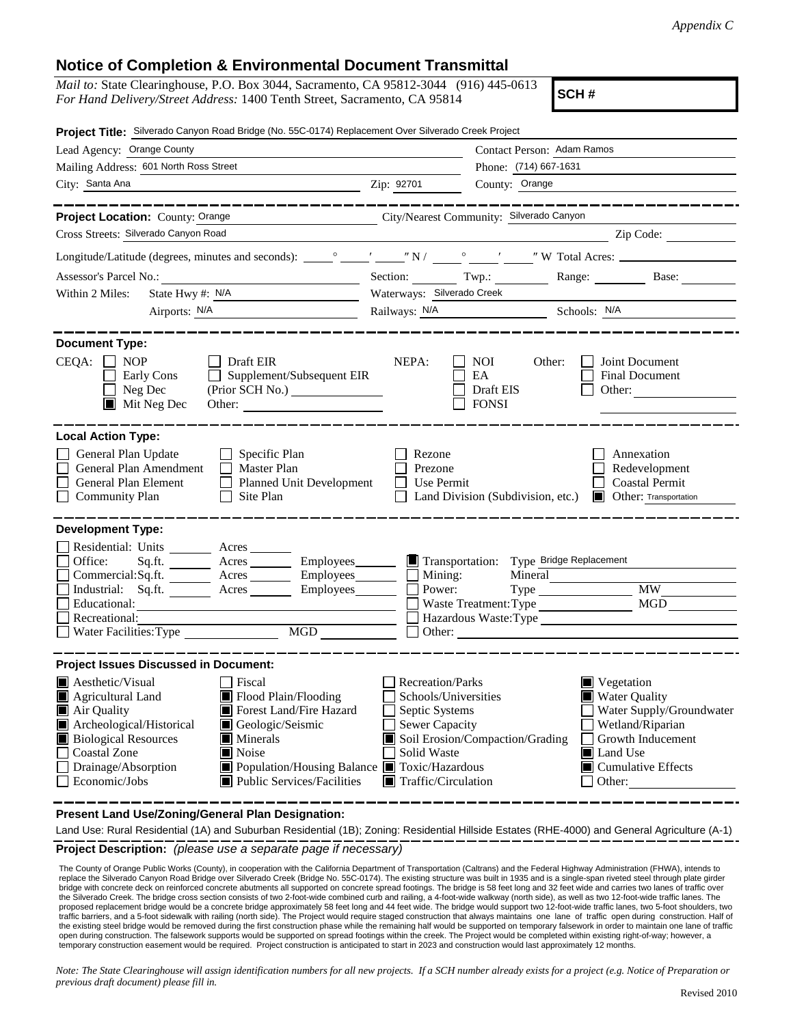$-$ 

sportation

| For Hand Delivery/Street Address: 1400 Tenth Street, Sacramento, CA 95814                                | Mail to: State Clearinghouse, P.O. Box 3044, Sacramento, CA 95812-3044 (916) 445-0613                                       |                                                   |                                         | SCH#                                                                |                                                                                                                              |
|----------------------------------------------------------------------------------------------------------|-----------------------------------------------------------------------------------------------------------------------------|---------------------------------------------------|-----------------------------------------|---------------------------------------------------------------------|------------------------------------------------------------------------------------------------------------------------------|
| Project Title: Silverado Canyon Road Bridge (No. 55C-0174) Replacement Over Silverado Creek Project      |                                                                                                                             |                                                   |                                         |                                                                     |                                                                                                                              |
| Lead Agency: Orange County                                                                               |                                                                                                                             | Contact Person: Adam Ramos                        |                                         |                                                                     |                                                                                                                              |
| Mailing Address: 601 North Ross Street                                                                   |                                                                                                                             |                                                   | Phone: (714) 667-1631                   |                                                                     |                                                                                                                              |
| City: Santa Ana                                                                                          |                                                                                                                             | Zip: 92701                                        | County: Orange                          |                                                                     |                                                                                                                              |
| Project Location: County: Orange                                                                         | City/Nearest Community: Silverado Canyon                                                                                    |                                                   |                                         |                                                                     |                                                                                                                              |
| Cross Streets: Silverado Canyon Road                                                                     |                                                                                                                             |                                                   |                                         |                                                                     | Zip Code:                                                                                                                    |
|                                                                                                          |                                                                                                                             |                                                   |                                         |                                                                     |                                                                                                                              |
| Assessor's Parcel No.:                                                                                   |                                                                                                                             |                                                   |                                         |                                                                     | Section: Twp.: Range: Base:                                                                                                  |
| Within 2 Miles:<br>State Hwy #: N/A                                                                      |                                                                                                                             | Waterways: Silverado Creek                        |                                         |                                                                     |                                                                                                                              |
| Airports: N/A                                                                                            |                                                                                                                             | Railways: N/A Schools: N/A                        |                                         |                                                                     |                                                                                                                              |
| 1 NOP<br>CEOA:<br>Early Cons<br>Neg Dec<br>$\blacksquare$ Mit Neg Dec                                    | $\Box$ Draft EIR<br>$\Box$ Supplement/Subsequent EIR<br>Other:                                                              | NEPA:                                             | NOI.<br>EA<br>Draft EIS<br><b>FONSI</b> | Other:                                                              | Joint Document<br><b>Final Document</b><br>Other:                                                                            |
| <b>Local Action Type:</b>                                                                                |                                                                                                                             |                                                   |                                         |                                                                     |                                                                                                                              |
| General Plan Update<br>General Plan Amendment<br>$\Box$<br>General Plan Element<br>$\Box$ Community Plan | $\Box$ Specific Plan<br>$\Box$ Master Plan<br>Planned Unit Development<br>ΓI<br>Site Plan                                   | Rezone<br>Prezone<br>Use Permit<br>$\blacksquare$ |                                         |                                                                     | Annexation<br>Redevelopment<br><b>Coastal Permit</b><br>Land Division (Subdivision, etc.) <b>Delay</b> Other: Transportation |
| <b>Development Type:</b>                                                                                 |                                                                                                                             |                                                   |                                         |                                                                     |                                                                                                                              |
| Residential: Units Acres<br>Office:<br>Commercial:Sq.ft.<br>Educational:                                 | Sq.ft. ________ Acres __________ Employees________<br>Acres __________ Employees_____<br>Industrial: Sq.ft. Acres Employees | $\Box$ Mining:<br>Power:                          | $\blacksquare$ Transportation:          | Type Bridge Replacement<br>Mineral<br>Type<br>Waste Treatment: Type | <b>MW</b><br>MGD                                                                                                             |

| $\blacksquare$ Aesthetic/Visual         | Fiscal                                         | <b>Recreation/Parks</b>            | $\blacksquare$ Vegetation         |
|-----------------------------------------|------------------------------------------------|------------------------------------|-----------------------------------|
| $\blacksquare$ Agricultural Land        | Flood Plain/Flooding                           | Schools/Universities               | $\blacksquare$ Water Quality      |
| $\blacksquare$ Air Quality              | Forest Land/Fire Hazard                        | Septic Systems                     | Water Supply/Groundwater          |
| $\blacksquare$ Archeological/Historical | Geologic/Seismic                               | <b>Sewer Capacity</b>              | Wetland/Riparian                  |
| <b>Biological Resources</b>             | <b>Minerals</b>                                | Soil Erosion/Compaction/Grading    | Growth Inducement                 |
| $\Box$ Coastal Zone                     | $\blacksquare$ Noise                           | Solid Waste                        | $\blacksquare$ Land Use           |
| $\Box$ Drainage/Absorption              | ■ Population/Housing Balance ■ Toxic/Hazardous |                                    | $\blacksquare$ Cumulative Effects |
| $\Box$ Economic/Jobs                    | $\blacksquare$ Public Services/Facilities      | $\blacksquare$ Traffic/Circulation | Other:                            |

**Present Land Use/Zoning/General Plan Designation:**

**Project Description:** *(please use a separate page if necessary)* Land Use: Rural Residential (1A) and Suburban Residential (1B); Zoning: Residential Hillside Estates (RHE-4000) and General Agriculture (A-1)

--------------------------

 The County of Orange Public Works (County), in cooperation with the California Department of Transportation (Caltrans) and the Federal Highway Administration (FHWA), intends to replace the Silverado Canyon Road Bridge over Silverado Creek (Bridge No. 55C-0174). The existing structure was built in 1935 and is a single-span riveted steel through plate girder bridge with concrete deck on reinforced concrete abutments all supported on concrete spread footings. The bridge is 58 feet long and 32 feet wide and carries two lanes of traffic over the Silverado Creek. The bridge cross section consists of two 2-foot-wide combined curb and railing, a 4-foot-wide walkway (north side), as well as two 12-foot-wide traffic lanes. The proposed replacement bridge would be a concrete bridge approximately 58 feet long and 44 feet wide. The bridge would support two 12-foot-wide traffic lanes, two 5-foot shoulders, two<br>traffic barriers, and a 5-foot sidewalk the existing steel bridge would be removed during the first construction phase while the remaining half would be supported on temporary falsework in order to maintain one lane of traffic open during construction. The falsework supports would be supported on spread footings within the creek. The Project would be completed within existing right-of-way; however, a temporary construction easement would be required. Project construction is anticipated to start in 2023 and construction would last approximately 12 months.

*Note: The State Clearinghouse will assign identification numbers for all new projects. If a SCH number already exists for a project (e.g. Notice of Preparation or previous draft document) please fill in.*